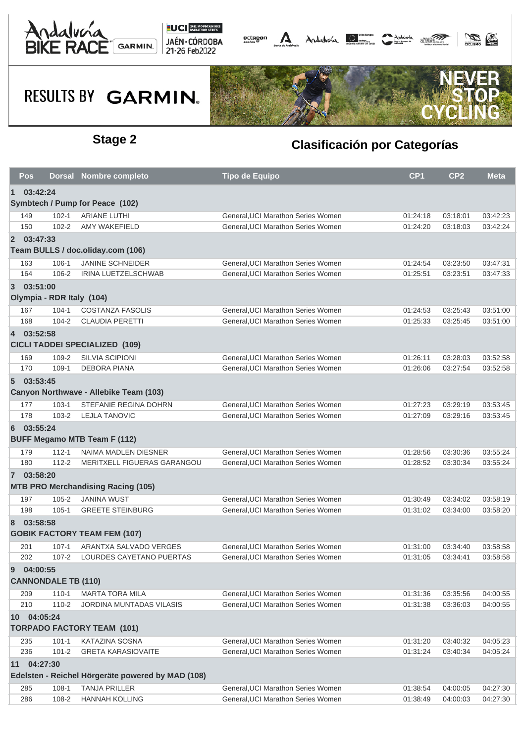



## **RESULTS BY GARMIN.**



### **Stage 2 Clasificación por Categorías**

|                                                   | Pos                        |           | Dorsal Nombre completo                    | <b>Tipo de Equipo</b>              | CP <sub>1</sub> | CP <sub>2</sub> | <b>Meta</b> |  |  |  |
|---------------------------------------------------|----------------------------|-----------|-------------------------------------------|------------------------------------|-----------------|-----------------|-------------|--|--|--|
| $\mathbf 1$                                       | 03:42:24                   |           |                                           |                                    |                 |                 |             |  |  |  |
|                                                   |                            |           | Symbtech / Pump for Peace (102)           |                                    |                 |                 |             |  |  |  |
|                                                   | 149                        | $102 - 1$ | <b>ARIANE LUTHI</b>                       | General, UCI Marathon Series Women | 01:24:18        | 03:18:01        | 03:42:23    |  |  |  |
|                                                   | 150                        | $102 - 2$ | AMY WAKEFIELD                             | General.UCI Marathon Series Women  | 01:24:20        | 03:18:03        | 03:42:24    |  |  |  |
|                                                   | 2 03:47:33                 |           |                                           |                                    |                 |                 |             |  |  |  |
|                                                   |                            |           | Team BULLS / doc.oliday.com (106)         |                                    |                 |                 |             |  |  |  |
|                                                   | 163                        | $106 - 1$ | <b>JANINE SCHNEIDER</b>                   | General, UCI Marathon Series Women | 01:24:54        | 03:23:50        | 03:47:31    |  |  |  |
|                                                   | 164                        | 106-2     | IRINA LUETZELSCHWAB                       | General, UCI Marathon Series Women | 01:25:51        | 03:23:51        | 03:47:33    |  |  |  |
| $3^{\circ}$                                       | 03:51:00                   |           |                                           |                                    |                 |                 |             |  |  |  |
|                                                   |                            |           | Olympia - RDR Italy (104)                 |                                    |                 |                 |             |  |  |  |
|                                                   | 167                        | $104 - 1$ | <b>COSTANZA FASOLIS</b>                   | General, UCI Marathon Series Women | 01:24:53        | 03:25:43        | 03:51:00    |  |  |  |
|                                                   | 168                        | $104 - 2$ | <b>CLAUDIA PERETTI</b>                    | General, UCI Marathon Series Women | 01:25:33        | 03:25:45        | 03:51:00    |  |  |  |
|                                                   | 4 03:52:58                 |           |                                           |                                    |                 |                 |             |  |  |  |
|                                                   |                            |           | <b>CICLI TADDEI SPECIALIZED (109)</b>     |                                    |                 |                 |             |  |  |  |
|                                                   | 169                        | 109-2     | <b>SILVIA SCIPIONI</b>                    | General, UCI Marathon Series Women | 01:26:11        | 03:28:03        | 03:52:58    |  |  |  |
|                                                   | 170                        | $109-1$   | <b>DEBORA PIANA</b>                       | General, UCI Marathon Series Women | 01:26:06        | 03:27:54        | 03:52:58    |  |  |  |
|                                                   | 503:53:45                  |           |                                           |                                    |                 |                 |             |  |  |  |
| Canyon Northwave - Allebike Team (103)            |                            |           |                                           |                                    |                 |                 |             |  |  |  |
|                                                   | 177                        | $103 - 1$ | STEFANIE REGINA DOHRN                     | General, UCI Marathon Series Women | 01:27:23        | 03:29:19        | 03:53:45    |  |  |  |
|                                                   | 178                        | $103 - 2$ | <b>LEJLA TANOVIC</b>                      | General, UCI Marathon Series Women | 01:27:09        | 03:29:16        | 03:53:45    |  |  |  |
| 6                                                 | 03:55:24                   |           |                                           |                                    |                 |                 |             |  |  |  |
|                                                   |                            |           | <b>BUFF Megamo MTB Team F (112)</b>       |                                    |                 |                 |             |  |  |  |
|                                                   | 179                        | $112 - 1$ | NAIMA MADLEN DIESNER                      | General, UCI Marathon Series Women | 01:28:56        | 03:30:36        | 03:55:24    |  |  |  |
|                                                   | 180                        | $112 - 2$ | MERITXELL FIGUERAS GARANGOU               | General, UCI Marathon Series Women | 01:28:52        | 03:30:34        | 03:55:24    |  |  |  |
|                                                   | 7 03:58:20                 |           |                                           |                                    |                 |                 |             |  |  |  |
|                                                   |                            |           | <b>MTB PRO Merchandising Racing (105)</b> |                                    |                 |                 |             |  |  |  |
|                                                   | 197                        | $105 - 2$ | <b>JANINA WUST</b>                        | General, UCI Marathon Series Women | 01:30:49        | 03:34:02        | 03:58:19    |  |  |  |
|                                                   | 198                        | $105 - 1$ | <b>GREETE STEINBURG</b>                   | General, UCI Marathon Series Women | 01:31:02        | 03:34:00        | 03:58:20    |  |  |  |
| 8                                                 | 03:58:58                   |           |                                           |                                    |                 |                 |             |  |  |  |
|                                                   |                            |           | <b>GOBIK FACTORY TEAM FEM (107)</b>       |                                    |                 |                 |             |  |  |  |
|                                                   | 201                        | $107 - 1$ | ARANTXA SALVADO VERGES                    | General, UCI Marathon Series Women | 01:31:00        | 03:34:40        | 03:58:58    |  |  |  |
|                                                   | 202                        | $107 - 2$ | LOURDES CAYETANO PUERTAS                  | General, UCI Marathon Series Women | 01:31:05        | 03:34:41        | 03:58:58    |  |  |  |
| 9                                                 | 04:00:55                   |           |                                           |                                    |                 |                 |             |  |  |  |
|                                                   | <b>CANNONDALE TB (110)</b> |           |                                           |                                    |                 |                 |             |  |  |  |
|                                                   | 209                        | $110 - 1$ | <b>MARTA TORA MILA</b>                    | General, UCI Marathon Series Women | 01:31:36        | 03:35:56        | 04:00:55    |  |  |  |
|                                                   | 210                        | $110-2$   | <b>JORDINA MUNTADAS VILASIS</b>           | General, UCI Marathon Series Women | 01:31:38        | 03:36:03        | 04:00:55    |  |  |  |
|                                                   | 10 04:05:24                |           |                                           |                                    |                 |                 |             |  |  |  |
| <b>TORPADO FACTORY TEAM (101)</b>                 |                            |           |                                           |                                    |                 |                 |             |  |  |  |
|                                                   | 235                        | $101 - 1$ | <b>KATAZINA SOSNA</b>                     | General, UCI Marathon Series Women | 01:31:20        | 03:40:32        | 04:05:23    |  |  |  |
|                                                   | 236                        | $101 - 2$ | <b>GRETA KARASIOVAITE</b>                 | General, UCI Marathon Series Women | 01:31:24        | 03:40:34        | 04:05:24    |  |  |  |
| 11                                                | 04:27:30                   |           |                                           |                                    |                 |                 |             |  |  |  |
| Edelsten - Reichel Hörgeräte powered by MAD (108) |                            |           |                                           |                                    |                 |                 |             |  |  |  |
|                                                   | 285                        | $108 - 1$ | <b>TANJA PRILLER</b>                      | General, UCI Marathon Series Women | 01:38:54        | 04:00:05        | 04:27:30    |  |  |  |
|                                                   | 286                        | 108-2     | <b>HANNAH KOLLING</b>                     | General, UCI Marathon Series Women | 01:38:49        | 04:00:03        | 04:27:30    |  |  |  |